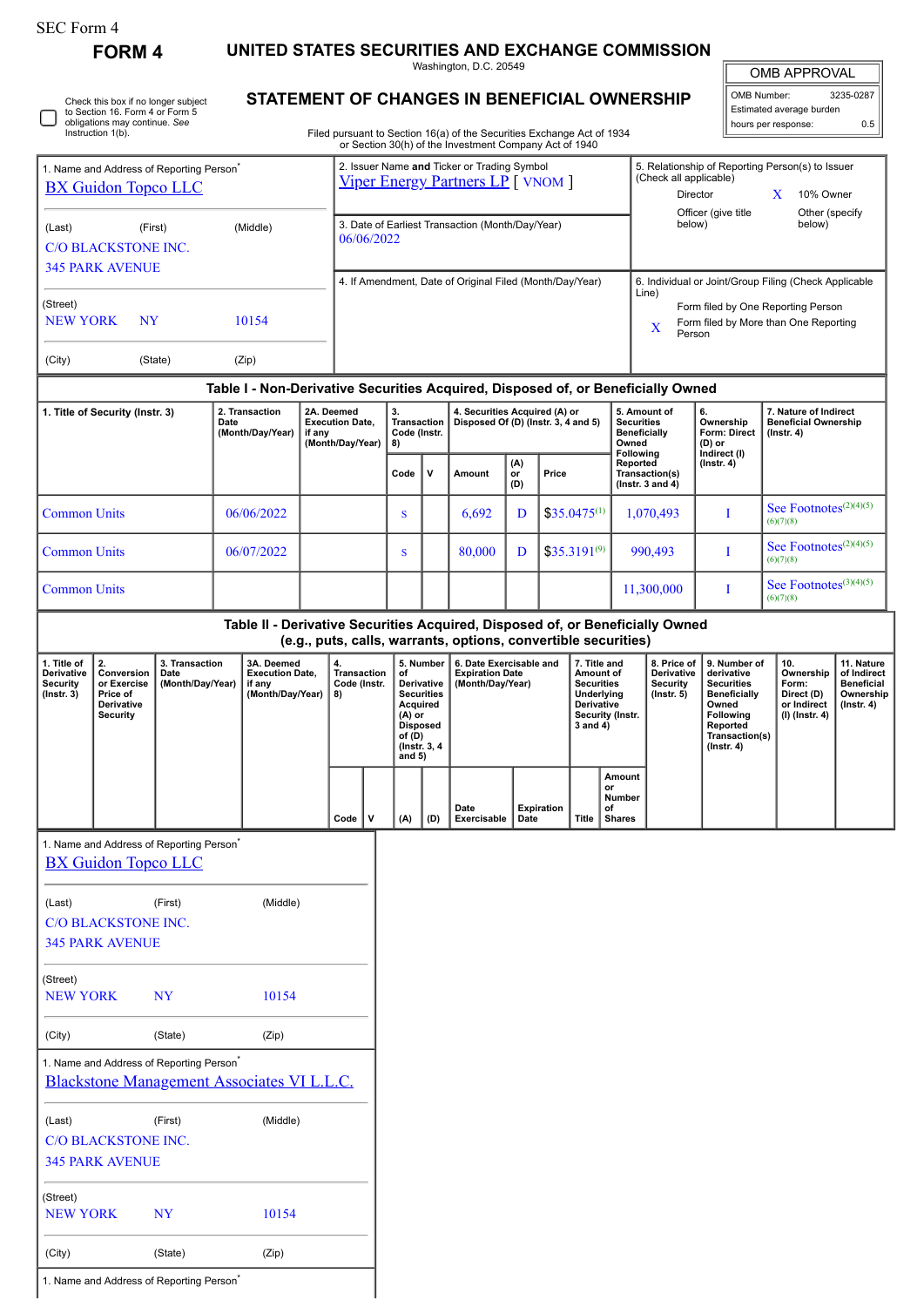| SEC Form 4 |  |
|------------|--|
|------------|--|

**FORM 4 UNITED STATES SECURITIES AND EXCHANGE COMMISSION**

Washington, D.C. 20549

| OMB APPROVAL             |           |  |  |  |  |  |  |  |
|--------------------------|-----------|--|--|--|--|--|--|--|
| OMB Number:              | 3235-0287 |  |  |  |  |  |  |  |
| Estimated average burden |           |  |  |  |  |  |  |  |

5. Relationship of Reporting Person(s) to Issuer

hours per response: 0.5

Check this box if no longer subject to Section 16. Form 4 or Form 5 obligations may continue. *See* Instruction 1(b). Г ٦

## **STATEMENT OF CHANGES IN BENEFICIAL OWNERSHIP**

Filed pursuant to Section 16(a) of the Securities Exchange Act of 1934 or Section 30(h) of the Investment Company Act of 1940

| 1. Name and Address of Reporting Person <sup>7</sup><br><b>BX Guidon Topco LLC</b> |                                                                                                                            |                                            |                                                                    | 2. Issuer Name and Ticker or Trading Symbol<br>Viper Energy Partners LP [ VNOM ] |                                                                                                                   |                                                                                                     |                                                |                                                                                                                                      |                                                                      |                                                                       |                  | 5. Relationship of Reporting Person(s) to Issuer<br>(Check all applicable)<br>Director<br>10% Owner<br>X   |                                                                   |                                                                        |                                                                                  |                                                                                                                                                |                                                                            |                                                                                 |  |
|------------------------------------------------------------------------------------|----------------------------------------------------------------------------------------------------------------------------|--------------------------------------------|--------------------------------------------------------------------|----------------------------------------------------------------------------------|-------------------------------------------------------------------------------------------------------------------|-----------------------------------------------------------------------------------------------------|------------------------------------------------|--------------------------------------------------------------------------------------------------------------------------------------|----------------------------------------------------------------------|-----------------------------------------------------------------------|------------------|------------------------------------------------------------------------------------------------------------|-------------------------------------------------------------------|------------------------------------------------------------------------|----------------------------------------------------------------------------------|------------------------------------------------------------------------------------------------------------------------------------------------|----------------------------------------------------------------------------|---------------------------------------------------------------------------------|--|
| (Middle)<br>(Last)<br>(First)<br><b>C/O BLACKSTONE INC.</b>                        |                                                                                                                            |                                            |                                                                    |                                                                                  | 3. Date of Earliest Transaction (Month/Day/Year)<br>06/06/2022                                                    |                                                                                                     |                                                |                                                                                                                                      |                                                                      |                                                                       |                  |                                                                                                            |                                                                   | Officer (give title<br>Other (specify<br>below)<br>below)              |                                                                                  |                                                                                                                                                |                                                                            |                                                                                 |  |
| <b>345 PARK AVENUE</b>                                                             |                                                                                                                            |                                            |                                                                    |                                                                                  | 4. If Amendment, Date of Original Filed (Month/Day/Year)<br>6. Individual or Joint/Group Filing (Check Applicable |                                                                                                     |                                                |                                                                                                                                      |                                                                      |                                                                       |                  |                                                                                                            |                                                                   |                                                                        |                                                                                  |                                                                                                                                                |                                                                            |                                                                                 |  |
| (Street)<br><b>NEW YORK</b><br>10154<br>NY                                         |                                                                                                                            |                                            |                                                                    |                                                                                  |                                                                                                                   | Line)<br>Form filed by One Reporting Person<br>Form filed by More than One Reporting<br>X<br>Person |                                                |                                                                                                                                      |                                                                      |                                                                       |                  |                                                                                                            |                                                                   |                                                                        |                                                                                  |                                                                                                                                                |                                                                            |                                                                                 |  |
| (City)                                                                             |                                                                                                                            | (State)                                    |                                                                    | (Zip)                                                                            |                                                                                                                   |                                                                                                     |                                                |                                                                                                                                      |                                                                      |                                                                       |                  |                                                                                                            |                                                                   |                                                                        |                                                                                  |                                                                                                                                                |                                                                            |                                                                                 |  |
|                                                                                    |                                                                                                                            |                                            |                                                                    |                                                                                  |                                                                                                                   |                                                                                                     |                                                |                                                                                                                                      |                                                                      |                                                                       |                  |                                                                                                            |                                                                   |                                                                        | Table I - Non-Derivative Securities Acquired, Disposed of, or Beneficially Owned |                                                                                                                                                |                                                                            |                                                                                 |  |
| 1. Title of Security (Instr. 3)                                                    |                                                                                                                            | 2. Transaction<br>Date<br>(Month/Day/Year) |                                                                    | if any                                                                           | 2A. Deemed<br><b>Execution Date,</b><br>(Month/Day/Year)                                                          |                                                                                                     | 3.<br><b>Transaction</b><br>Code (Instr.<br>8) |                                                                                                                                      | 4. Securities Acquired (A) or<br>Disposed Of (D) (Instr. 3, 4 and 5) |                                                                       |                  |                                                                                                            | 5. Amount of<br><b>Securities</b><br><b>Beneficially</b><br>Owned | 6.<br>Ownership<br><b>Form: Direct</b><br>$(D)$ or<br>Indirect (I)     | 7. Nature of Indirect<br><b>Beneficial Ownership</b><br>$($ Instr. 4 $)$         |                                                                                                                                                |                                                                            |                                                                                 |  |
|                                                                                    |                                                                                                                            |                                            |                                                                    |                                                                                  |                                                                                                                   |                                                                                                     |                                                | Code                                                                                                                                 | $\mathsf{v}$                                                         | Amount                                                                | (A)<br>or<br>(D) | Price                                                                                                      |                                                                   | <b>Following</b><br>Reported<br>Transaction(s)<br>( $lnstr. 3 and 4$ ) |                                                                                  | $($ Instr. 4 $)$                                                                                                                               |                                                                            |                                                                                 |  |
| <b>Common Units</b>                                                                |                                                                                                                            |                                            |                                                                    | 06/06/2022                                                                       |                                                                                                                   |                                                                                                     |                                                | S                                                                                                                                    |                                                                      | 6,692                                                                 | D                |                                                                                                            | $$35.0475^{(1)}$                                                  |                                                                        | 1,070,493                                                                        | I                                                                                                                                              | See Footnotes <sup>(2)(4)(5)</sup><br>(6)(7)(8)                            |                                                                                 |  |
| <b>Common Units</b>                                                                |                                                                                                                            |                                            |                                                                    | 06/07/2022                                                                       |                                                                                                                   |                                                                                                     |                                                | S                                                                                                                                    |                                                                      | 80.000                                                                | D                |                                                                                                            | $$35.3191^{(9)}$                                                  |                                                                        | 990,493                                                                          | I                                                                                                                                              | See Footnotes $(2)(4)(5)$<br>(6)(7)(8)                                     |                                                                                 |  |
| <b>Common Units</b>                                                                |                                                                                                                            |                                            |                                                                    |                                                                                  |                                                                                                                   |                                                                                                     |                                                |                                                                                                                                      |                                                                      |                                                                       |                  |                                                                                                            | 11,300,000                                                        | I                                                                      | See Footnotes $(3)(4)(5)$<br>(6)(7)(8)                                           |                                                                                                                                                |                                                                            |                                                                                 |  |
|                                                                                    |                                                                                                                            |                                            |                                                                    |                                                                                  |                                                                                                                   |                                                                                                     |                                                |                                                                                                                                      |                                                                      | (e.g., puts, calls, warrants, options, convertible securities)        |                  |                                                                                                            |                                                                   |                                                                        | Table II - Derivative Securities Acquired, Disposed of, or Beneficially Owned    |                                                                                                                                                |                                                                            |                                                                                 |  |
| 1. Title of<br>Derivative<br>Security<br>$($ Instr. 3 $)$                          | 2.<br>3. Transaction<br>Conversion<br>Date<br>or Exercise<br>(Month/Day/Year)<br>Price of<br>Derivative<br><b>Security</b> |                                            | 3A. Deemed<br><b>Execution Date,</b><br>if any<br>(Month/Day/Year) |                                                                                  |                                                                                                                   | 4.<br><b>Transaction</b><br>Code (Instr.<br>8)                                                      |                                                | 5. Number<br>of<br>Derivative<br><b>Securities</b><br>Acquired<br>$(A)$ or<br><b>Disposed</b><br>of (D)<br>(Instr. 3, 4)<br>and $5)$ |                                                                      | 6. Date Exercisable and<br><b>Expiration Date</b><br>(Month/Day/Year) |                  | 7. Title and<br>Amount of<br><b>Securities</b><br>Underlying<br>Derivative<br>Security (Instr.<br>3 and 4) |                                                                   |                                                                        | 8. Price of<br>Derivative<br><b>Security</b><br>$($ Instr. 5 $)$                 | 9. Number of<br>derivative<br><b>Securities</b><br><b>Beneficially</b><br>Owned<br>Following<br>Reported<br>Transaction(s)<br>$($ Instr. 4 $)$ | 10.<br>Ownership<br>Form:<br>Direct (D)<br>or Indirect<br>$(I)$ (Instr. 4) | 11. Nature<br>of Indirect<br><b>Beneficial</b><br>Ownership<br>$($ Instr. 4 $)$ |  |
|                                                                                    |                                                                                                                            |                                            |                                                                    |                                                                                  |                                                                                                                   | Code                                                                                                | v                                              | (A)                                                                                                                                  | (D)                                                                  | Date<br>Exercisable                                                   | Date             | <b>Expiration</b>                                                                                          | Title                                                             | Amount<br>or<br>Number<br>of<br><b>Shares</b>                          |                                                                                  |                                                                                                                                                |                                                                            |                                                                                 |  |
|                                                                                    | 1. Name and Address of Reporting Person <sup>®</sup><br><b>BX</b> Guidon Topco LLC                                         |                                            |                                                                    |                                                                                  |                                                                                                                   |                                                                                                     |                                                |                                                                                                                                      |                                                                      |                                                                       |                  |                                                                                                            |                                                                   |                                                                        |                                                                                  |                                                                                                                                                |                                                                            |                                                                                 |  |
| (Last)                                                                             | <b>C/O BLACKSTONE INC.</b><br><b>345 PARK AVENUE</b>                                                                       | (First)                                    |                                                                    | (Middle)                                                                         |                                                                                                                   |                                                                                                     |                                                |                                                                                                                                      |                                                                      |                                                                       |                  |                                                                                                            |                                                                   |                                                                        |                                                                                  |                                                                                                                                                |                                                                            |                                                                                 |  |
| (Street)<br><b>NEW YORK</b>                                                        |                                                                                                                            | <b>NY</b>                                  |                                                                    | 10154                                                                            |                                                                                                                   |                                                                                                     |                                                |                                                                                                                                      |                                                                      |                                                                       |                  |                                                                                                            |                                                                   |                                                                        |                                                                                  |                                                                                                                                                |                                                                            |                                                                                 |  |
| (City)                                                                             |                                                                                                                            | (State)                                    |                                                                    | (Zip)                                                                            |                                                                                                                   |                                                                                                     |                                                |                                                                                                                                      |                                                                      |                                                                       |                  |                                                                                                            |                                                                   |                                                                        |                                                                                  |                                                                                                                                                |                                                                            |                                                                                 |  |
|                                                                                    | 1. Name and Address of Reporting Person <sup>*</sup><br>Blackstone Management Associates VI L.L.C.                         |                                            |                                                                    |                                                                                  |                                                                                                                   |                                                                                                     |                                                |                                                                                                                                      |                                                                      |                                                                       |                  |                                                                                                            |                                                                   |                                                                        |                                                                                  |                                                                                                                                                |                                                                            |                                                                                 |  |
| (Last)                                                                             | C/O BLACKSTONE INC.<br><b>345 PARK AVENUE</b>                                                                              | (First)                                    |                                                                    | (Middle)                                                                         |                                                                                                                   |                                                                                                     |                                                |                                                                                                                                      |                                                                      |                                                                       |                  |                                                                                                            |                                                                   |                                                                        |                                                                                  |                                                                                                                                                |                                                                            |                                                                                 |  |
| (Street)<br><b>NEW YORK</b>                                                        |                                                                                                                            | <b>NY</b>                                  |                                                                    | 10154                                                                            |                                                                                                                   |                                                                                                     |                                                |                                                                                                                                      |                                                                      |                                                                       |                  |                                                                                                            |                                                                   |                                                                        |                                                                                  |                                                                                                                                                |                                                                            |                                                                                 |  |
| (City)                                                                             |                                                                                                                            | (State)                                    |                                                                    | (Zip)                                                                            |                                                                                                                   |                                                                                                     |                                                |                                                                                                                                      |                                                                      |                                                                       |                  |                                                                                                            |                                                                   |                                                                        |                                                                                  |                                                                                                                                                |                                                                            |                                                                                 |  |

1. Name and Address of Reporting Person\*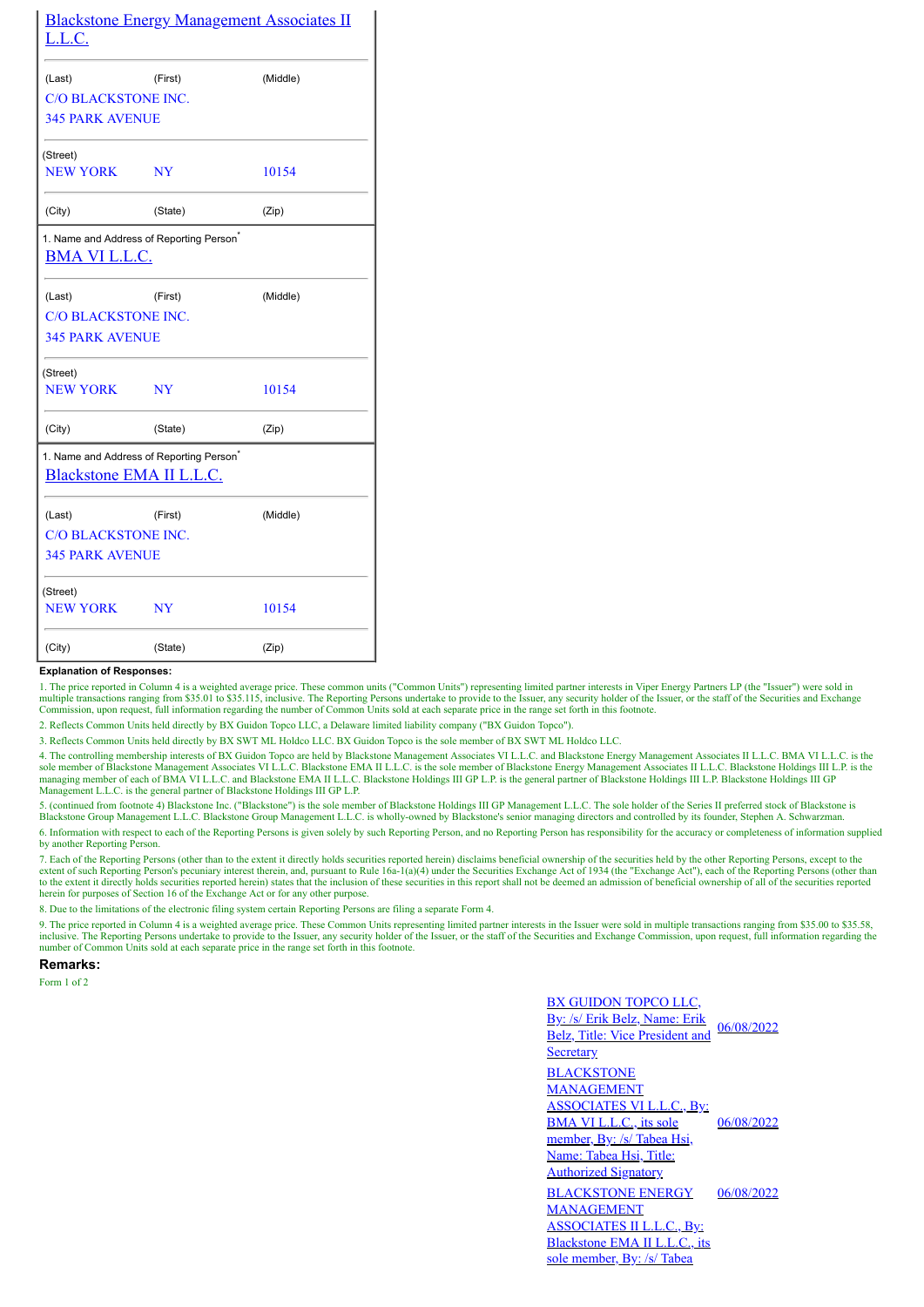| <b>Blackstone Energy Management Associates II</b><br>L.L.C. |                                                      |          |  |  |  |  |
|-------------------------------------------------------------|------------------------------------------------------|----------|--|--|--|--|
| (Last)                                                      | (First)                                              | (Middle) |  |  |  |  |
| <b>C/O BLACKSTONE INC.</b>                                  |                                                      |          |  |  |  |  |
| <b>345 PARK AVENUE</b>                                      |                                                      |          |  |  |  |  |
| (Street)                                                    |                                                      |          |  |  |  |  |
| <b>NEW YORK</b>                                             | NY                                                   | 10154    |  |  |  |  |
| (City)                                                      | (State)                                              | (Zip)    |  |  |  |  |
| <b>BMA VI L.L.C.</b>                                        | 1. Name and Address of Reporting Person <sup>®</sup> |          |  |  |  |  |
| (Last)                                                      | (First)                                              | (Middle) |  |  |  |  |
| <b>C/O BLACKSTONE INC.</b>                                  |                                                      |          |  |  |  |  |
| <b>345 PARK AVENUE</b>                                      |                                                      |          |  |  |  |  |
| (Street)                                                    |                                                      |          |  |  |  |  |
| <b>NEW YORK</b>                                             | NY                                                   | 10154    |  |  |  |  |
| (City)                                                      | (State)                                              | (Zip)    |  |  |  |  |
| Blackstone EMA II L.L.C.                                    | 1. Name and Address of Reporting Person <sup>®</sup> |          |  |  |  |  |
| (Last)                                                      | (First)                                              | (Middle) |  |  |  |  |
| <b>C/O BLACKSTONE INC.</b>                                  |                                                      |          |  |  |  |  |
| <b>345 PARK AVENUE</b>                                      |                                                      |          |  |  |  |  |
| (Street)                                                    |                                                      |          |  |  |  |  |
| <b>NEW YORK</b>                                             | NY                                                   | 10154    |  |  |  |  |
| (City)                                                      | (State)                                              | (Zip)    |  |  |  |  |

## **Explanation of Responses:**

1. The price reported in Column 4 is a weighted average price. These common units ("Common Units") representing limited partner interests in Viper Energy Partners LP (the "Issuer") were sold in<br>multiple transactions rangin Commission, upon request, full information regarding the number of Common Units sold at each separate price in the range set forth in this footnote.

2. Reflects Common Units held directly by BX Guidon Topco LLC, a Delaware limited liability company ("BX Guidon Topco").

3. Reflects Common Units held directly by BX SWT ML Holdco LLC. BX Guidon Topco is the sole member of BX SWT ML Holdco LLC.

4. The controlling membership interests of BX Guidon Topco are held by Blackstone Management Associates VI L.L.C. and Blackstone Energy Management Associates II L.L.C. BMA VI L.L.C. is the sole member of Blackstone Managem Management L.L.C. is the general partner of Blackstone Holdings III GP L.P.

5. (continued from footnote 4) Blackstone Inc. ("Blackstone") is the sole member of Blackstone Holdings III GP Management L.L.C. The sole holder of the Series II preferred stock of Blackstone is Blackstone Group Management L.L.C. Blackstone Group Management L.L.C. is wholly-owned by Blackstone's senior managing directors and controlled by its founder, Stephen A. Schwarzman.

6. Information with respect to each of the Reporting Persons is given solely by such Reporting Person, and no Reporting Person has responsibility for the accuracy or completeness of information supplied by another Reporting Person.

7. Each of the Reporting Persons (other than to the extent it directly holds securities reported herein) disclaims beneficial ownership of the securities held by the other Reporting Persons, except to the extent of such ap to the extent it directly holds securities reported herein) states that the inclusion of these securities in this report shall not be deemed an admission of beneficial ownership of all of the securities reported herein for purposes of Section 16 of the Exchange Act or for any other purpose.

8. Due to the limitations of the electronic filing system certain Reporting Persons are filing a separate Form 4.

9. The price reported in Column 4 is a weighted average price. These Common Units representing limited partner interests in the Issuer were sold in multiple transactions ranging from \$35.00 to \$35.58, inclusive. The Report number of Common Units sold at each separate price in the range set forth in this footnote.

**Remarks:**

Form 1 of 2

BX GUIDON TOPCO LLC, By: /s/ Erik Belz, Name: Erik Belz, Title: Vice President and **Secretary** 06/08/2022 **BLACKSTONE** MANAGEMENT ASSOCIATES VI L.L.C., By: BMA VI L.L.C., its sole member, By: /s/ Tabea Hsi, Name: Tabea Hsi, Title: Authorized Signatory 06/08/2022 BLACKSTONE ENERGY MANAGEMENT ASSOCIATES II L.L.C., By: Blackstone EMA II L.L.C., its sole member, By: /s/ Tabea 06/08/2022